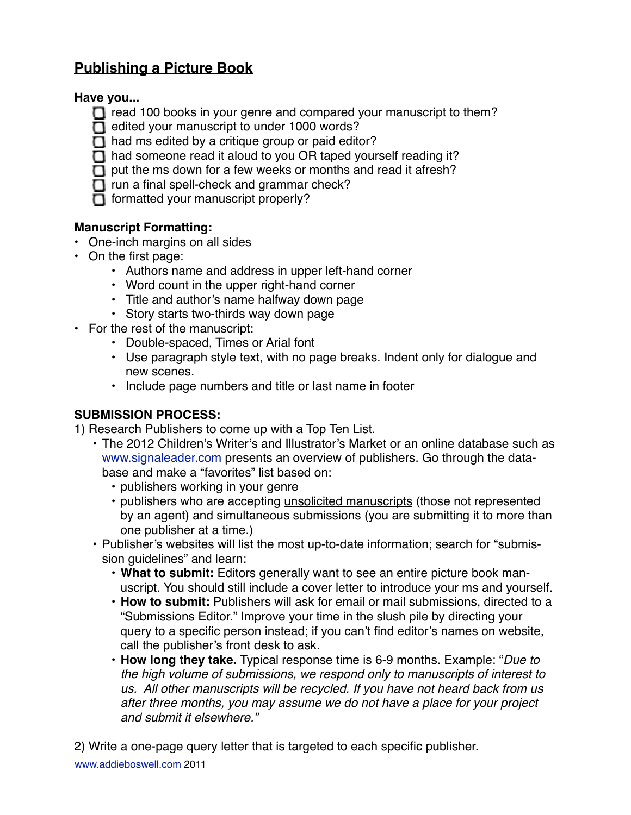# **Publishing a Picture Book**

#### **Have you...**

- $\Box$  read 100 books in your genre and compared your manuscript to them?
- $\Box$  edited your manuscript to under 1000 words?
- $\Box$  had ms edited by a critique group or paid editor?
- $\Box$  had someone read it aloud to you OR taped yourself reading it?
- $\Box$  put the ms down for a few weeks or months and read it afresh?
- $\Box$  run a final spell-check and grammar check?
- $\Box$  formatted your manuscript properly?

## **Manuscript Formatting:**

- One-inch margins on all sides
- On the first page:
	- Authors name and address in upper left-hand corner
	- Word count in the upper right-hand corner
	- Title and author's name halfway down page
	- Story starts two-thirds way down page
- For the rest of the manuscript:
	- Double-spaced, Times or Arial font
	- Use paragraph style text, with no page breaks. Indent only for dialogue and new scenes.
	- Include page numbers and title or last name in footer

## **SUBMISSION PROCESS:**

1) Research Publishers to come up with a Top Ten List.

- The 2012 Children's Writer's and Illustrator's Market or an online database such as [www.signaleader.com](http://www.signaleader.com/childrenswriters) presents an overview of publishers. Go through the database and make a "favorites" list based on:
	- publishers working in your genre
	- publishers who are accepting unsolicited manuscripts (those not represented by an agent) and simultaneous submissions (you are submitting it to more than one publisher at a time.)
- Publisher's websites will list the most up-to-date information; search for "submission guidelines" and learn:
	- **What to submit:** Editors generally want to see an entire picture book manuscript. You should still include a cover letter to introduce your ms and yourself.
	- **How to submit:** Publishers will ask for email or mail submissions, directed to a "Submissions Editor." Improve your time in the slush pile by directing your query to a specific person instead; if you can't find editor's names on website, call the publisher's front desk to ask.
	- **How long they take.** Typical response time is 6-9 months. Example: "*Due to the high volume of submissions, we respond only to manuscripts of interest to us. All other manuscripts will be recycled. If you have not heard back from us after three months, you may assume we do not have a place for your project and submit it elsewhere."*

2) Write a one-page query letter that is targeted to each specific publisher.